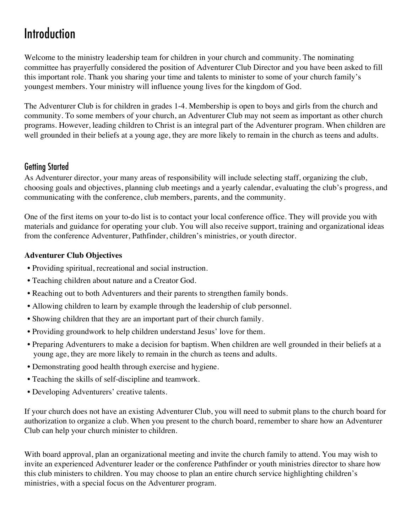# Introduction

Welcome to the ministry leadership team for children in your church and community. The nominating committee has prayerfully considered the position of Adventurer Club Director and you have been asked to fill this important role. Thank you sharing your time and talents to minister to some of your church family's youngest members. Your ministry will influence young lives for the kingdom of God.

The Adventurer Club is for children in grades 1-4. Membership is open to boys and girls from the church and community. To some members of your church, an Adventurer Club may not seem as important as other church programs. However, leading children to Christ is an integral part of the Adventurer program. When children are well grounded in their beliefs at a young age, they are more likely to remain in the church as teens and adults.

## Getting Started

As Adventurer director, your many areas of responsibility will include selecting staff, organizing the club, choosing goals and objectives, planning club meetings and a yearly calendar, evaluating the club's progress, and communicating with the conference, club members, parents, and the community.

One of the first items on your to-do list is to contact your local conference office. They will provide you with materials and guidance for operating your club. You will also receive support, training and organizational ideas from the conference Adventurer, Pathfinder, children's ministries, or youth director.

#### **Adventurer Club Objectives**

- Providing spiritual, recreational and social instruction.
- Teaching children about nature and a Creator God.
- Reaching out to both Adventurers and their parents to strengthen family bonds.
- Allowing children to learn by example through the leadership of club personnel.
- Showing children that they are an important part of their church family.
- Providing groundwork to help children understand Jesus' love for them.
- Preparing Adventurers to make a decision for baptism. When children are well grounded in their beliefs at a young age, they are more likely to remain in the church as teens and adults.
- Demonstrating good health through exercise and hygiene.
- Teaching the skills of self-discipline and teamwork.
- Developing Adventurers' creative talents.

If your church does not have an existing Adventurer Club, you will need to submit plans to the church board for authorization to organize a club. When you present to the church board, remember to share how an Adventurer Club can help your church minister to children.

With board approval, plan an organizational meeting and invite the church family to attend. You may wish to invite an experienced Adventurer leader or the conference Pathfinder or youth ministries director to share how this club ministers to children. You may choose to plan an entire church service highlighting children's ministries, with a special focus on the Adventurer program.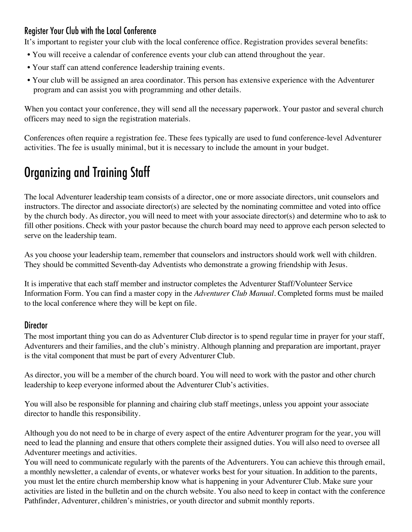## Register Your Club with the Local Conference

It's important to register your club with the local conference office. Registration provides several benefits:

- You will receive a calendar of conference events your club can attend throughout the year.
- Your staff can attend conference leadership training events.
- Your club will be assigned an area coordinator. This person has extensive experience with the Adventurer program and can assist you with programming and other details.

When you contact your conference, they will send all the necessary paperwork. Your pastor and several church officers may need to sign the registration materials.

Conferences often require a registration fee. These fees typically are used to fund conference-level Adventurer activities. The fee is usually minimal, but it is necessary to include the amount in your budget.

# Organizing and Training Staff

The local Adventurer leadership team consists of a director, one or more associate directors, unit counselors and instructors. The director and associate director(s) are selected by the nominating committee and voted into office by the church body. As director, you will need to meet with your associate director(s) and determine who to ask to fill other positions. Check with your pastor because the church board may need to approve each person selected to serve on the leadership team.

As you choose your leadership team, remember that counselors and instructors should work well with children. They should be committed Seventh-day Adventists who demonstrate a growing friendship with Jesus.

It is imperative that each staff member and instructor completes the Adventurer Staff/Volunteer Service Information Form. You can find a master copy in the *Adventurer Club Manual*. Completed forms must be mailed to the local conference where they will be kept on file.

### **Director**

The most important thing you can do as Adventurer Club director is to spend regular time in prayer for your staff, Adventurers and their families, and the club's ministry. Although planning and preparation are important, prayer is the vital component that must be part of every Adventurer Club.

As director, you will be a member of the church board. You will need to work with the pastor and other church leadership to keep everyone informed about the Adventurer Club's activities.

You will also be responsible for planning and chairing club staff meetings, unless you appoint your associate director to handle this responsibility.

Although you do not need to be in charge of every aspect of the entire Adventurer program for the year, you will need to lead the planning and ensure that others complete their assigned duties. You will also need to oversee all Adventurer meetings and activities.

You will need to communicate regularly with the parents of the Adventurers. You can achieve this through email, a monthly newsletter, a calendar of events, or whatever works best for your situation. In addition to the parents, you must let the entire church membership know what is happening in your Adventurer Club. Make sure your activities are listed in the bulletin and on the church website. You also need to keep in contact with the conference Pathfinder, Adventurer, children's ministries, or youth director and submit monthly reports.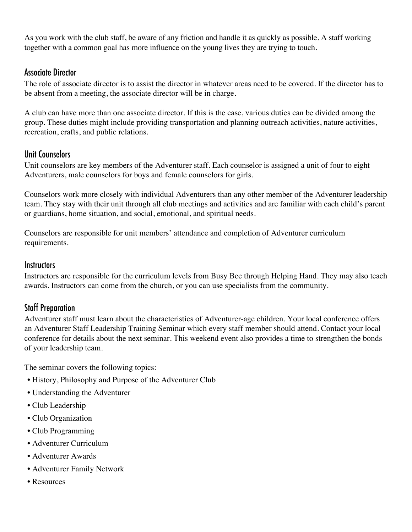As you work with the club staff, be aware of any friction and handle it as quickly as possible. A staff working together with a common goal has more influence on the young lives they are trying to touch.

### Associate Director

The role of associate director is to assist the director in whatever areas need to be covered. If the director has to be absent from a meeting, the associate director will be in charge.

A club can have more than one associate director. If this is the case, various duties can be divided among the group. These duties might include providing transportation and planning outreach activities, nature activities, recreation, crafts, and public relations.

#### Unit Counselors

Unit counselors are key members of the Adventurer staff. Each counselor is assigned a unit of four to eight Adventurers, male counselors for boys and female counselors for girls.

Counselors work more closely with individual Adventurers than any other member of the Adventurer leadership team. They stay with their unit through all club meetings and activities and are familiar with each child's parent or guardians, home situation, and social, emotional, and spiritual needs.

Counselors are responsible for unit members' attendance and completion of Adventurer curriculum requirements.

#### **Instructors**

Instructors are responsible for the curriculum levels from Busy Bee through Helping Hand. They may also teach awards. Instructors can come from the church, or you can use specialists from the community.

## Staff Preparation

Adventurer staff must learn about the characteristics of Adventurer-age children. Your local conference offers an Adventurer Staff Leadership Training Seminar which every staff member should attend. Contact your local conference for details about the next seminar. This weekend event also provides a time to strengthen the bonds of your leadership team.

The seminar covers the following topics:

- History, Philosophy and Purpose of the Adventurer Club
- Understanding the Adventurer
- Club Leadership
- Club Organization
- Club Programming
- Adventurer Curriculum
- Adventurer Awards
- Adventurer Family Network
- Resources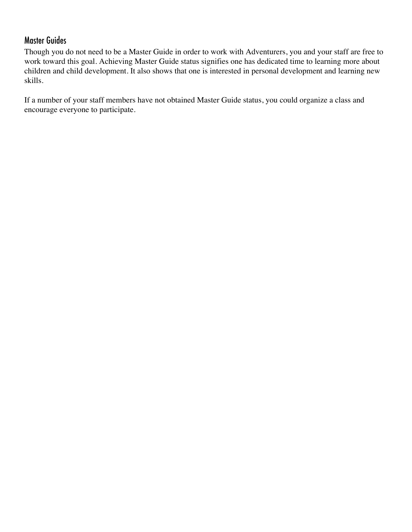## Master Guides

Though you do not need to be a Master Guide in order to work with Adventurers, you and your staff are free to work toward this goal. Achieving Master Guide status signifies one has dedicated time to learning more about children and child development. It also shows that one is interested in personal development and learning new skills.

If a number of your staff members have not obtained Master Guide status, you could organize a class and encourage everyone to participate.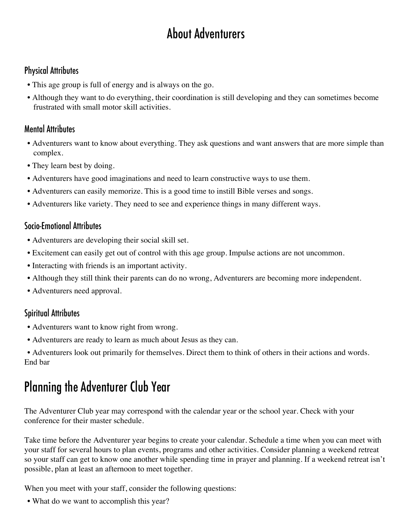# About Adventurers

## Physical Attributes

- This age group is full of energy and is always on the go.
- Although they want to do everything, their coordination is still developing and they can sometimes become frustrated with small motor skill activities.

## Mental Attributes

- Adventurers want to know about everything. They ask questions and want answers that are more simple than complex.
- They learn best by doing.
- Adventurers have good imaginations and need to learn constructive ways to use them.
- Adventurers can easily memorize. This is a good time to instill Bible verses and songs.
- Adventurers like variety. They need to see and experience things in many different ways.

## Socio-Emotional Attributes

- Adventurers are developing their social skill set.
- Excitement can easily get out of control with this age group. Impulse actions are not uncommon.
- Interacting with friends is an important activity.
- Although they still think their parents can do no wrong, Adventurers are becoming more independent.
- Adventurers need approval.

## Spiritual Attributes

- Adventurers want to know right from wrong.
- Adventurers are ready to learn as much about Jesus as they can.

• Adventurers look out primarily for themselves. Direct them to think of others in their actions and words. End bar

## Planning the Adventurer Club Year

The Adventurer Club year may correspond with the calendar year or the school year. Check with your conference for their master schedule.

Take time before the Adventurer year begins to create your calendar. Schedule a time when you can meet with your staff for several hours to plan events, programs and other activities. Consider planning a weekend retreat so your staff can get to know one another while spending time in prayer and planning. If a weekend retreat isn't possible, plan at least an afternoon to meet together.

When you meet with your staff, consider the following questions:

• What do we want to accomplish this year?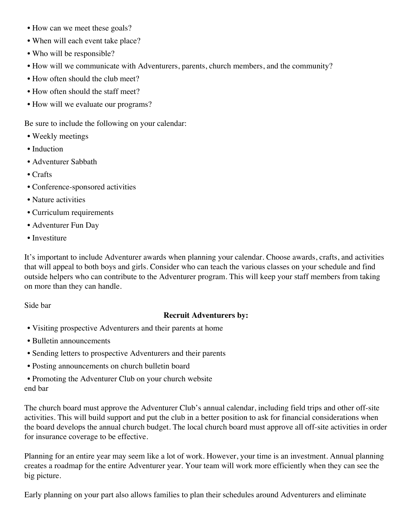- How can we meet these goals?
- When will each event take place?
- Who will be responsible?
- How will we communicate with Adventurers, parents, church members, and the community?
- How often should the club meet?
- How often should the staff meet?
- How will we evaluate our programs?

Be sure to include the following on your calendar:

- Weekly meetings
- Induction
- Adventurer Sabbath
- Crafts
- Conference-sponsored activities
- Nature activities
- Curriculum requirements
- Adventurer Fun Day
- Investiture

It's important to include Adventurer awards when planning your calendar. Choose awards, crafts, and activities that will appeal to both boys and girls. Consider who can teach the various classes on your schedule and find outside helpers who can contribute to the Adventurer program. This will keep your staff members from taking on more than they can handle.

Side bar

#### **Recruit Adventurers by:**

- Visiting prospective Adventurers and their parents at home
- Bulletin announcements
- Sending letters to prospective Adventurers and their parents
- Posting announcements on church bulletin board
- Promoting the Adventurer Club on your church website end bar

The church board must approve the Adventurer Club's annual calendar, including field trips and other off-site activities. This will build support and put the club in a better position to ask for financial considerations when the board develops the annual church budget. The local church board must approve all off-site activities in order for insurance coverage to be effective.

Planning for an entire year may seem like a lot of work. However, your time is an investment. Annual planning creates a roadmap for the entire Adventurer year. Your team will work more efficiently when they can see the big picture.

Early planning on your part also allows families to plan their schedules around Adventurers and eliminate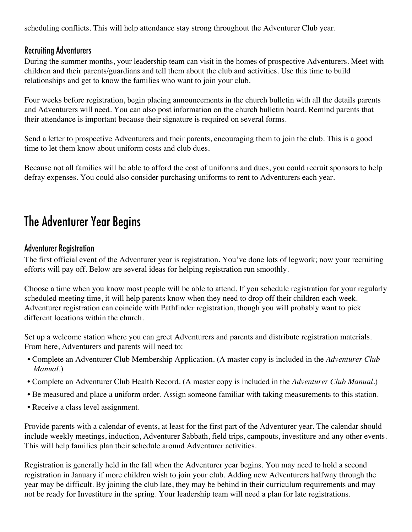scheduling conflicts. This will help attendance stay strong throughout the Adventurer Club year.

### Recruiting Adventurers

During the summer months, your leadership team can visit in the homes of prospective Adventurers. Meet with children and their parents/guardians and tell them about the club and activities. Use this time to build relationships and get to know the families who want to join your club.

Four weeks before registration, begin placing announcements in the church bulletin with all the details parents and Adventurers will need. You can also post information on the church bulletin board. Remind parents that their attendance is important because their signature is required on several forms.

Send a letter to prospective Adventurers and their parents, encouraging them to join the club. This is a good time to let them know about uniform costs and club dues.

Because not all families will be able to afford the cost of uniforms and dues, you could recruit sponsors to help defray expenses. You could also consider purchasing uniforms to rent to Adventurers each year.

## The Adventurer Year Begins

#### Adventurer Registration

The first official event of the Adventurer year is registration. You've done lots of legwork; now your recruiting efforts will pay off. Below are several ideas for helping registration run smoothly.

Choose a time when you know most people will be able to attend. If you schedule registration for your regularly scheduled meeting time, it will help parents know when they need to drop off their children each week. Adventurer registration can coincide with Pathfinder registration, though you will probably want to pick different locations within the church.

Set up a welcome station where you can greet Adventurers and parents and distribute registration materials. From here, Adventurers and parents will need to:

- Complete an Adventurer Club Membership Application. (A master copy is included in the *Adventurer Club Manual*.)
- Complete an Adventurer Club Health Record. (A master copy is included in the *Adventurer Club Manual*.)
- Be measured and place a uniform order. Assign someone familiar with taking measurements to this station.
- Receive a class level assignment.

Provide parents with a calendar of events, at least for the first part of the Adventurer year. The calendar should include weekly meetings, induction, Adventurer Sabbath, field trips, campouts, investiture and any other events. This will help families plan their schedule around Adventurer activities.

Registration is generally held in the fall when the Adventurer year begins. You may need to hold a second registration in January if more children wish to join your club. Adding new Adventurers halfway through the year may be difficult. By joining the club late, they may be behind in their curriculum requirements and may not be ready for Investiture in the spring. Your leadership team will need a plan for late registrations.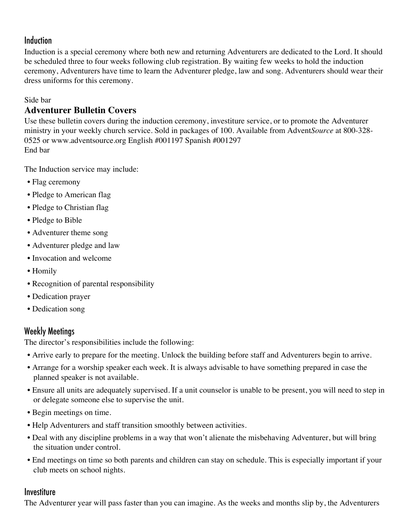## Induction

Induction is a special ceremony where both new and returning Adventurers are dedicated to the Lord. It should be scheduled three to four weeks following club registration. By waiting few weeks to hold the induction ceremony, Adventurers have time to learn the Adventurer pledge, law and song. Adventurers should wear their dress uniforms for this ceremony.

#### Side bar

## **Adventurer Bulletin Covers**

Use these bulletin covers during the induction ceremony, investiture service, or to promote the Adventurer ministry in your weekly church service. Sold in packages of 100. Available from Advent*Source* at 800-328- 0525 or www.adventsource.org English #001197 Spanish #001297 End bar

The Induction service may include:

- Flag ceremony
- Pledge to American flag
- Pledge to Christian flag
- Pledge to Bible
- Adventurer theme song
- Adventurer pledge and law
- Invocation and welcome
- Homily
- Recognition of parental responsibility
- Dedication prayer
- Dedication song

## Weekly Meetings

The director's responsibilities include the following:

- Arrive early to prepare for the meeting. Unlock the building before staff and Adventurers begin to arrive.
- Arrange for a worship speaker each week. It is always advisable to have something prepared in case the planned speaker is not available.
- Ensure all units are adequately supervised. If a unit counselor is unable to be present, you will need to step in or delegate someone else to supervise the unit.
- Begin meetings on time.
- Help Adventurers and staff transition smoothly between activities.
- Deal with any discipline problems in a way that won't alienate the misbehaving Adventurer, but will bring the situation under control.
- End meetings on time so both parents and children can stay on schedule. This is especially important if your club meets on school nights.

### **Investiture**

The Adventurer year will pass faster than you can imagine. As the weeks and months slip by, the Adventurers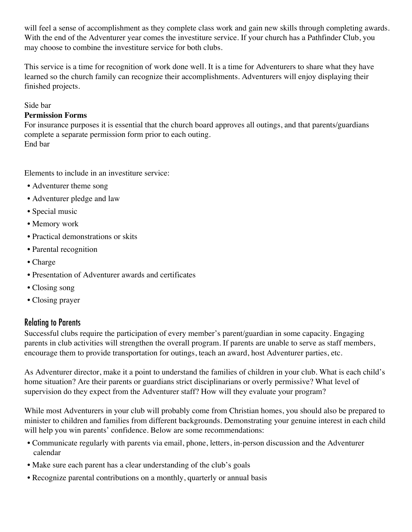will feel a sense of accomplishment as they complete class work and gain new skills through completing awards. With the end of the Adventurer year comes the investiture service. If your church has a Pathfinder Club, you may choose to combine the investiture service for both clubs.

This service is a time for recognition of work done well. It is a time for Adventurers to share what they have learned so the church family can recognize their accomplishments. Adventurers will enjoy displaying their finished projects.

#### Side bar

#### **Permission Forms**

For insurance purposes it is essential that the church board approves all outings, and that parents/guardians complete a separate permission form prior to each outing. End bar

Elements to include in an investiture service:

- Adventurer theme song
- Adventurer pledge and law
- Special music
- Memory work
- Practical demonstrations or skits
- Parental recognition
- Charge
- Presentation of Adventurer awards and certificates
- Closing song
- Closing prayer

#### Relating to Parents

Successful clubs require the participation of every member's parent/guardian in some capacity. Engaging parents in club activities will strengthen the overall program. If parents are unable to serve as staff members, encourage them to provide transportation for outings, teach an award, host Adventurer parties, etc.

As Adventurer director, make it a point to understand the families of children in your club. What is each child's home situation? Are their parents or guardians strict disciplinarians or overly permissive? What level of supervision do they expect from the Adventurer staff? How will they evaluate your program?

While most Adventurers in your club will probably come from Christian homes, you should also be prepared to minister to children and families from different backgrounds. Demonstrating your genuine interest in each child will help you win parents' confidence. Below are some recommendations:

- Communicate regularly with parents via email, phone, letters, in-person discussion and the Adventurer calendar
- Make sure each parent has a clear understanding of the club's goals
- Recognize parental contributions on a monthly, quarterly or annual basis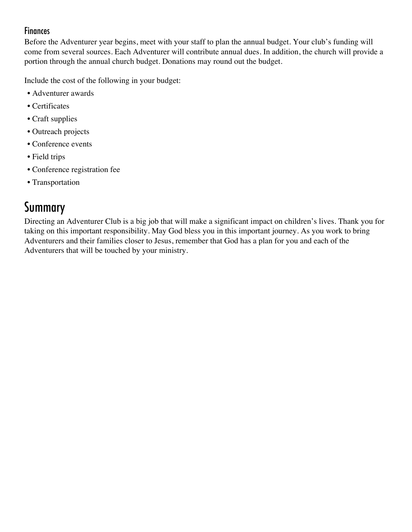## Finances

Before the Adventurer year begins, meet with your staff to plan the annual budget. Your club's funding will come from several sources. Each Adventurer will contribute annual dues. In addition, the church will provide a portion through the annual church budget. Donations may round out the budget.

Include the cost of the following in your budget:

- Adventurer awards
- Certificates
- Craft supplies
- Outreach projects
- Conference events
- Field trips
- Conference registration fee
- Transportation

## Summary

Directing an Adventurer Club is a big job that will make a significant impact on children's lives. Thank you for taking on this important responsibility. May God bless you in this important journey. As you work to bring Adventurers and their families closer to Jesus, remember that God has a plan for you and each of the Adventurers that will be touched by your ministry.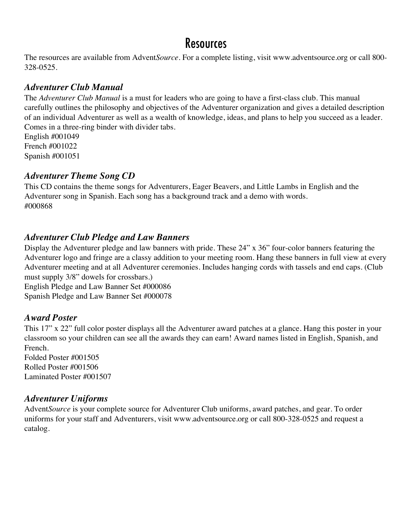## **Resources**

The resources are available from Advent*Source*. For a complete listing, visit www.adventsource.org or call 800- 328-0525.

### *Adventurer Club Manual*

The *Adventurer Club Manual* is a must for leaders who are going to have a first-class club. This manual carefully outlines the philosophy and objectives of the Adventurer organization and gives a detailed description of an individual Adventurer as well as a wealth of knowledge, ideas, and plans to help you succeed as a leader. Comes in a three-ring binder with divider tabs.

English #001049 French #001022 Spanish #001051

#### *Adventurer Theme Song CD*

This CD contains the theme songs for Adventurers, Eager Beavers, and Little Lambs in English and the Adventurer song in Spanish. Each song has a background track and a demo with words. #000868

### *Adventurer Club Pledge and Law Banners*

Display the Adventurer pledge and law banners with pride. These 24" x 36" four-color banners featuring the Adventurer logo and fringe are a classy addition to your meeting room. Hang these banners in full view at every Adventurer meeting and at all Adventurer ceremonies. Includes hanging cords with tassels and end caps. (Club must supply 3/8" dowels for crossbars.)

English Pledge and Law Banner Set #000086 Spanish Pledge and Law Banner Set #000078

### *Award Poster*

This 17" x 22" full color poster displays all the Adventurer award patches at a glance. Hang this poster in your classroom so your children can see all the awards they can earn! Award names listed in English, Spanish, and French.

Folded Poster #001505 Rolled Poster #001506 Laminated Poster #001507

### *Adventurer Uniforms*

Advent*Source* is your complete source for Adventurer Club uniforms, award patches, and gear. To order uniforms for your staff and Adventurers, visit www.adventsource.org or call 800-328-0525 and request a catalog.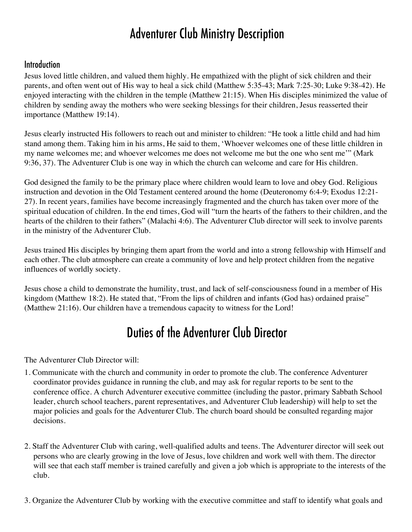## Adventurer Club Ministry Description

#### **Introduction**

Jesus loved little children, and valued them highly. He empathized with the plight of sick children and their parents, and often went out of His way to heal a sick child (Matthew 5:35-43; Mark 7:25-30; Luke 9:38-42). He enjoyed interacting with the children in the temple (Matthew 21:15). When His disciples minimized the value of children by sending away the mothers who were seeking blessings for their children, Jesus reasserted their importance (Matthew 19:14).

Jesus clearly instructed His followers to reach out and minister to children: "He took a little child and had him stand among them. Taking him in his arms, He said to them, 'Whoever welcomes one of these little children in my name welcomes me; and whoever welcomes me does not welcome me but the one who sent me'" (Mark 9:36, 37). The Adventurer Club is one way in which the church can welcome and care for His children.

God designed the family to be the primary place where children would learn to love and obey God. Religious instruction and devotion in the Old Testament centered around the home (Deuteronomy 6:4-9; Exodus 12:21- 27). In recent years, families have become increasingly fragmented and the church has taken over more of the spiritual education of children. In the end times, God will "turn the hearts of the fathers to their children, and the hearts of the children to their fathers" (Malachi 4:6). The Adventurer Club director will seek to involve parents in the ministry of the Adventurer Club.

Jesus trained His disciples by bringing them apart from the world and into a strong fellowship with Himself and each other. The club atmosphere can create a community of love and help protect children from the negative influences of worldly society.

Jesus chose a child to demonstrate the humility, trust, and lack of self-consciousness found in a member of His kingdom (Matthew 18:2). He stated that, "From the lips of children and infants (God has) ordained praise" (Matthew 21:16). Our children have a tremendous capacity to witness for the Lord!

## Duties of the Adventurer Club Director

The Adventurer Club Director will:

- 1. Communicate with the church and community in order to promote the club. The conference Adventurer coordinator provides guidance in running the club, and may ask for regular reports to be sent to the conference office. A church Adventurer executive committee (including the pastor, primary Sabbath School leader, church school teachers, parent representatives, and Adventurer Club leadership) will help to set the major policies and goals for the Adventurer Club. The church board should be consulted regarding major decisions.
- 2. Staff the Adventurer Club with caring, well-qualified adults and teens. The Adventurer director will seek out persons who are clearly growing in the love of Jesus, love children and work well with them. The director will see that each staff member is trained carefully and given a job which is appropriate to the interests of the club.
- 3. Organize the Adventurer Club by working with the executive committee and staff to identify what goals and